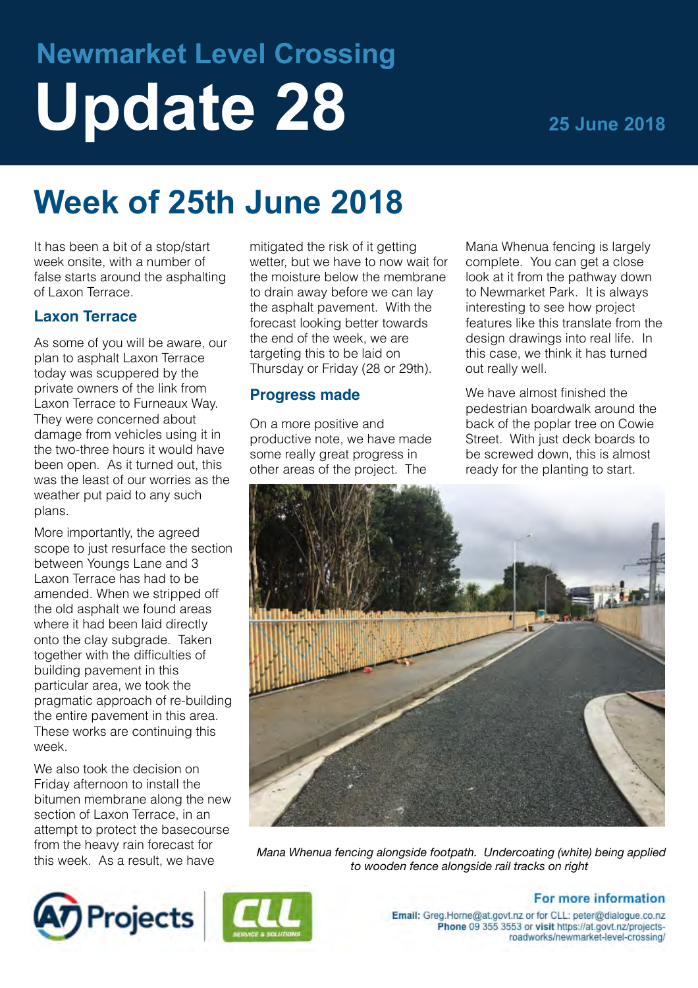# **Newmarket Level Crossing** Update 28 25 June 2018

## **Week of 25th June 2018**

It has been a bit of a stop/start week onsite, with a number of false starts around the asphalting of Laxon Terrace.

#### **Laxon Terrace**

As some of you will be aware, our plan to asphalt Laxon Terrace today was scuppered by the private owners of the link from Laxon Terrace to Furneaux Way. They were concerned about damage from vehicles using it in the two-three hours it would have been open. As it turned out, this was the least of our worries as the weather put paid to any such plans.

More importantly, the agreed scope to just resurface the section between Youngs Lane and 3 Laxon Terrace has had to be amended. When we stripped off the old asphalt we found areas where it had been laid directly onto the clay subgrade. Taken together with the difficulties of building pavement in this particular area, we took the pragmatic approach of re-building the entire pavement in this area. These works are continuing this week.

We also took the decision on Friday afternoon to install the bitumen membrane along the new section of Laxon Terrace, in an attempt to protect the basecourse from the heavy rain forecast for this week. As a result, we have

mitigated the risk of it getting wetter, but we have to now wait for the moisture below the membrane to drain away before we can lay the asphalt pavement. With the forecast looking better towards the end of the week, we are targeting this to be laid on Thursday or Friday (28 or 29th).

#### **Progress made**

On a more positive and productive note, we have made some really great progress in other areas of the project. The

Mana Whenua fencing is largely complete. You can get a close look at it from the pathway down to Newmarket Park. It is always interesting to see how project features like this translate from the design drawings into real life. In this case, we think it has turned out really well.

We have almost finished the pedestrian boardwalk around the back of the poplar tree on Cowie Street. With just deck boards to be screwed down, this is almost ready for the planting to start.



*Mana Whenua fencing alongside footpath. Undercoating (white) being applied to wooden fence alongside rail tracks on right*





### For more information

Email: Greg.Horne@at.govt.nz or for CLL: peter@dialogue.co.nz Phone 09 355 3553 or visit https://at.govt.nz/projectsroadworks/newmarket-level-crossing/